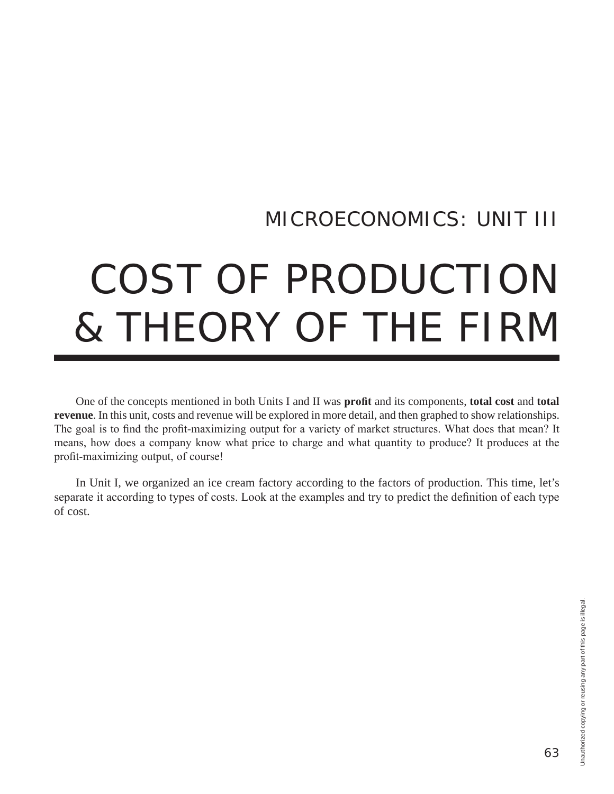# MICROECONOMICS: UNIT III

# COST OF PRODUCTION & THEORY OF THE FIRM

One of the concepts mentioned in both Units I and II was **profit** and its components, **total cost** and **total revenue**. In this unit, costs and revenue will be explored in more detail, and then graphed to show relationships. The goal is to find the profit-maximizing output for a variety of market structures. What does that mean? It means, how does a company know what price to charge and what quantity to produce? It produces at the profit-maximizing output, of course!

In Unit I, we organized an ice cream factory according to the factors of production. This time, let's separate it according to types of costs. Look at the examples and try to predict the definition of each type of cost.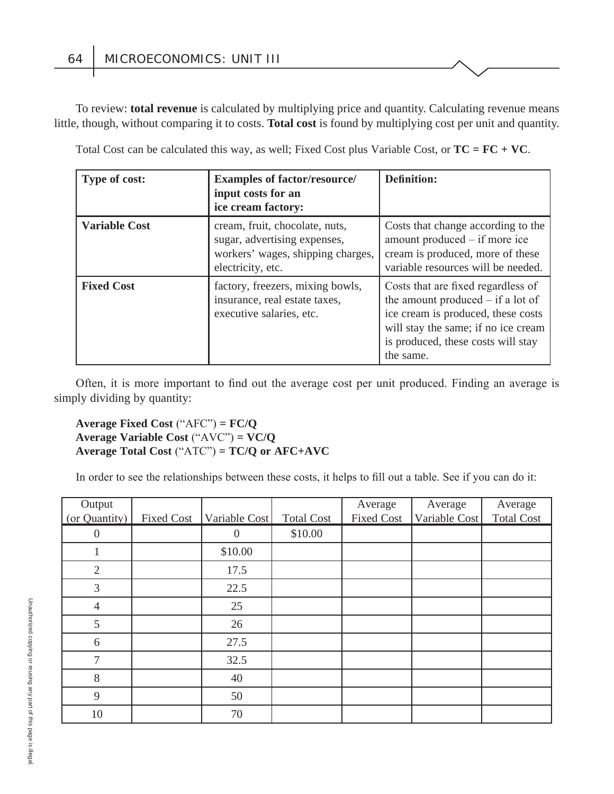To review: **total revenue** is calculated by multiplying price and quantity. Calculating revenue means little, though, without comparing it to costs. **Total cost** is found by multiplying cost per unit and quantity.

| Type of cost:        | <b>Examples of factor/resource/</b><br>input costs for an<br>ice cream factory:                                          | <b>Definition:</b>                                                                                                                                                                                        |
|----------------------|--------------------------------------------------------------------------------------------------------------------------|-----------------------------------------------------------------------------------------------------------------------------------------------------------------------------------------------------------|
| <b>Variable Cost</b> | cream, fruit, chocolate, nuts,<br>sugar, advertising expenses,<br>workers' wages, shipping charges,<br>electricity, etc. | Costs that change according to the<br>amount produced $-$ if more ice<br>cream is produced, more of these<br>variable resources will be needed.                                                           |
| <b>Fixed Cost</b>    | factory, freezers, mixing bowls,<br>insurance, real estate taxes,<br>executive salaries, etc.                            | Costs that are fixed regardless of<br>the amount produced $-$ if a lot of<br>ice cream is produced, these costs<br>will stay the same; if no ice cream<br>is produced, these costs will stay<br>the same. |

Total Cost can be calculated this way, as well; Fixed Cost plus Variable Cost, or  $TC = FC + VC$ .

Often, it is more important to find out the average cost per unit produced. Finding an average is simply dividing by quantity:

## **Average Fixed Cost** (" $AFC"$ ) =  $FC/Q$ **Average Variable Cost** (" $AVC$ ") =  $VC/Q$  $A$ verage Total  $Cost("ATC") = TC/Q$  or  $AFC+AVC$

In order to see the relationships between these costs, it helps to fill out a table. See if you can do it:

| Output         |                   |               |                   | Average           | Average       | Average           |
|----------------|-------------------|---------------|-------------------|-------------------|---------------|-------------------|
| (or Quantity)  | <b>Fixed Cost</b> | Variable Cost | <b>Total Cost</b> | <b>Fixed Cost</b> | Variable Cost | <b>Total Cost</b> |
| $\theta$       |                   | $\Omega$      | \$10.00           |                   |               |                   |
|                |                   | \$10.00       |                   |                   |               |                   |
| $\overline{2}$ |                   | 17.5          |                   |                   |               |                   |
| 3              |                   | 22.5          |                   |                   |               |                   |
| $\overline{4}$ |                   | 25            |                   |                   |               |                   |
| 5              |                   | 26            |                   |                   |               |                   |
| 6              |                   | 27.5          |                   |                   |               |                   |
| 7              |                   | 32.5          |                   |                   |               |                   |
| 8              |                   | 40            |                   |                   |               |                   |
| 9              |                   | 50            |                   |                   |               |                   |
| 10             |                   | 70            |                   |                   |               |                   |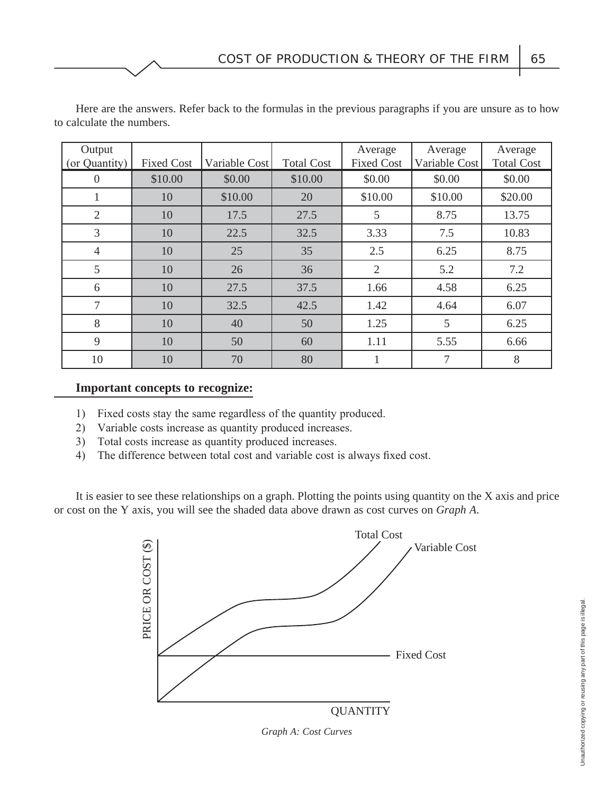| Output         |                   |               |                   | Average           | Average       | Average           |
|----------------|-------------------|---------------|-------------------|-------------------|---------------|-------------------|
| (or Quantity)  | <b>Fixed Cost</b> | Variable Cost | <b>Total Cost</b> | <b>Fixed Cost</b> | Variable Cost | <b>Total Cost</b> |
| 0              | \$10.00           | \$0.00        | \$10.00           | \$0.00            | \$0.00        | \$0.00            |
|                | 10                | \$10.00       | 20                | \$10.00           | \$10.00       | \$20.00           |
| $\overline{2}$ | 10                | 17.5          | 27.5              | 5                 | 8.75          | 13.75             |
| 3              | 10                | 22.5          | 32.5              | 3.33              | 7.5           | 10.83             |
| $\overline{4}$ | 10                | 25            | 35                | 2.5               | 6.25          | 8.75              |
| 5              | 10                | 26            | 36                | $\overline{2}$    | 5.2           | 7.2               |
| 6              | 10                | 27.5          | 37.5              | 1.66              | 4.58          | 6.25              |
| 7              | 10                | 32.5          | 42.5              | 1.42              | 4.64          | 6.07              |
| 8              | 10                | 40            | 50                | 1.25              | 5             | 6.25              |
| 9              | 10                | 50            | 60                | 1.11              | 5.55          | 6.66              |
| 10             | 10                | 70            | 80                | 1                 |               | 8                 |

Here are the answers. Refer back to the formulas in the previous paragraphs if you are unsure as to how to calculate the numbers.

# **Important concepts to recognize:**

- 1) Fixed costs stay the same regardless of the quantity produced.
- 2) Variable costs increase as quantity produced increases.
- 3) Total costs increase as quantity produced increases.
- 4) The difference between total cost and variable cost is always fixed cost.

It is easier to see these relationships on a graph. Plotting the points using quantity on the X axis and price or cost on the Y axis, you will see the shaded data above drawn as cost curves on *Graph A*.



*Graph A: Cost Curves*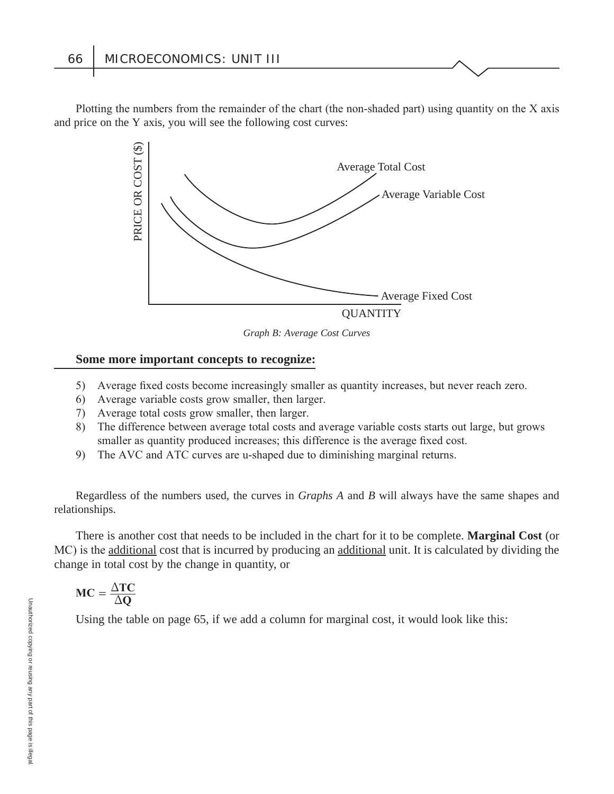Plotting the numbers from the remainder of the chart (the non-shaded part) using quantity on the X axis and price on the Y axis, you will see the following cost curves:



*Graph B: Average Cost Curves*

### **Some more important concepts to recognize:**

- 5) Average fixed costs become increasingly smaller as quantity increases, but never reach zero.
- 6) Average variable costs grow smaller, then larger.
- 7) Average total costs grow smaller, then larger.
- 8) The difference between average total costs and average variable costs starts out large, but grows smaller as quantity produced increases; this difference is the average fixed cost.
- 9) The AVC and ATC curves are u-shaped due to diminishing marginal returns.

Regardless of the numbers used, the curves in *Graphs A* and *B* will always have the same shapes and relationships.

There is another cost that needs to be included in the chart for it to be complete. **Marginal Cost** (or MC) is the <u>additional</u> cost that is incurred by producing an <u>additional</u> unit. It is calculated by dividing the change in total cost by the change in quantity, or

$$
MC = \frac{\Delta TC}{\Delta Q}
$$

Using the table on page 65, if we add a column for marginal cost, it would look like this: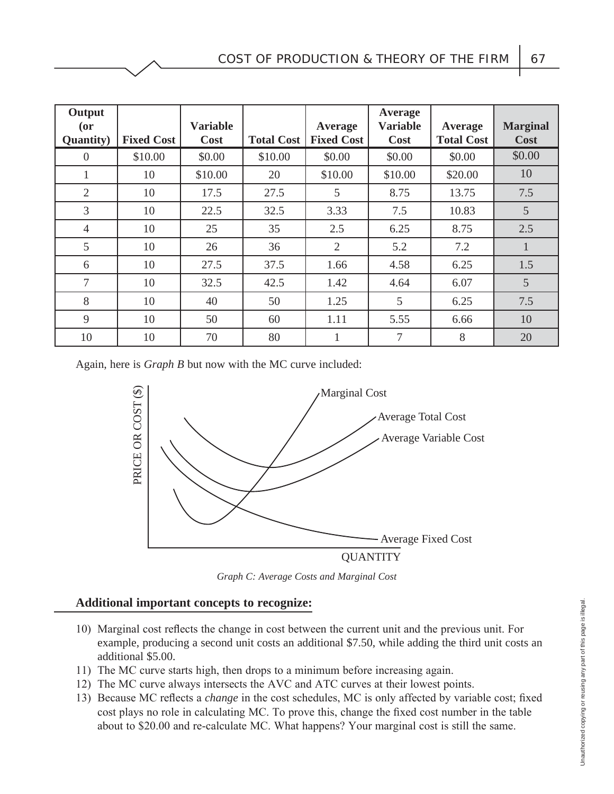| Output<br>$($ or<br><b>Quantity</b> ) | <b>Fixed Cost</b> | <b>Variable</b><br>Cost | <b>Total Cost</b> | Average<br><b>Fixed Cost</b> | Average<br><b>Variable</b><br>Cost | Average<br><b>Total Cost</b> | <b>Marginal</b><br>Cost |
|---------------------------------------|-------------------|-------------------------|-------------------|------------------------------|------------------------------------|------------------------------|-------------------------|
| $\theta$                              | \$10.00           | \$0.00                  | \$10.00           | \$0.00                       | \$0.00                             | \$0.00                       | \$0.00                  |
| $\mathbf{1}$                          | 10                | \$10.00                 | 20                | \$10.00                      | \$10.00                            | \$20.00                      | 10                      |
| $\overline{2}$                        | 10                | 17.5                    | 27.5              | 5                            | 8.75                               | 13.75                        | 7.5                     |
| 3                                     | 10                | 22.5                    | 32.5              | 3.33                         | 7.5                                | 10.83                        | 5                       |
| $\overline{4}$                        | 10                | 25                      | 35                | 2.5                          | 6.25                               | 8.75                         | 2.5                     |
| 5                                     | 10                | 26                      | 36                | 2                            | 5.2                                | 7.2                          | $\mathbf{1}$            |
| 6                                     | 10                | 27.5                    | 37.5              | 1.66                         | 4.58                               | 6.25                         | 1.5                     |
| $\overline{7}$                        | 10                | 32.5                    | 42.5              | 1.42                         | 4.64                               | 6.07                         | 5                       |
| 8                                     | 10                | 40                      | 50                | 1.25                         | 5                                  | 6.25                         | 7.5                     |
| 9                                     | 10                | 50                      | 60                | 1.11                         | 5.55                               | 6.66                         | 10                      |
| 10                                    | 10                | 70                      | 80                | $\mathbf 1$                  | 7                                  | 8                            | 20                      |

Again, here is *Graph B* but now with the MC curve included:



*Graph C: Average Costs and Marginal Cost*

# **Additional important concepts to recognize:**

- 10) Marginal cost reflects the change in cost between the current unit and the previous unit. For example, producing a second unit costs an additional \$7.50, while adding the third unit costs an additional \$5.00.
- 11) The MC curve starts high, then drops to a minimum before increasing again.
- 12) The MC curve always intersects the AVC and ATC curves at their lowest points.
- 13) Because MC reflects a *change* in the cost schedules, MC is only affected by variable cost; fixed cost plays no role in calculating MC. To prove this, change the fixed cost number in the table about to \$20.00 and re-calculate MC. What happens? Your marginal cost is still the same.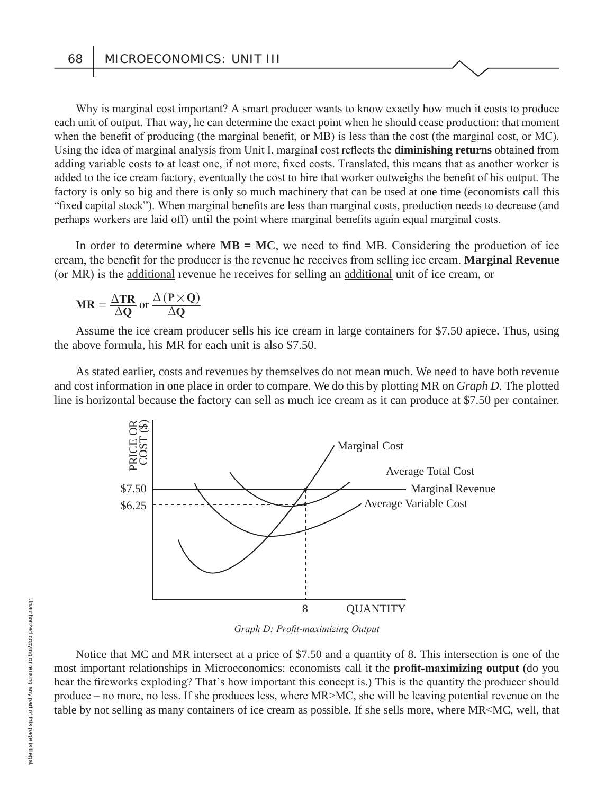Why is marginal cost important? A smart producer wants to know exactly how much it costs to produce each unit of output. That way, he can determine the exact point when he should cease production: that moment when the benefit of producing (the marginal benefit, or MB) is less than the cost (the marginal cost, or MC). Using the idea of marginal analysis from Unit I, marginal cost reflects the **diminishing returns** obtained from adding variable costs to at least one, if not more, fixed costs. Translated, this means that as another worker is added to the ice cream factory, eventually the cost to hire that worker outweighs the benefit of his output. The factory is only so big and there is only so much machinery that can be used at one time (economists call this "fixed capital stock"). When marginal benefits are less than marginal costs, production needs to decrease (and perhaps workers are laid off) until the point where marginal benefits again equal marginal costs.

In order to determine where  $MB = MC$ , we need to find MB. Considering the production of ice cream, the benefit for the producer is the revenue he receives from selling ice cream. **Marginal Revenue**  $K(NR)$  is the additional revenue he receives for selling an additional unit of ice cream, or

$$
MR = \frac{\Delta TR}{\Delta Q} \text{ or } \frac{\Delta (P \times Q)}{\Delta Q}
$$

Assume the ice cream producer sells his ice cream in large containers for \$7.50 apiece. Thus, using the above formula, his MR for each unit is also \$7.50.

As stated earlier, costs and revenues by themselves do not mean much. We need to have both revenue and cost information in one place in order to compare. We do this by plotting MR on *Graph D*. The plotted line is horizontal because the factory can sell as much ice cream as it can produce at \$7.50 per container.



Graph D: Profit-maximizing Output

Notice that MC and MR intersect at a price of \$7.50 and a quantity of 8. This intersection is one of the most important relationships in Microeconomics: economists call it the **profit-maximizing output** (do you hear the fireworks exploding? That's how important this concept is.) This is the quantity the producer should  $produce - no more, no less. If she produces less, where MR>MC, she will be leaving potential revenue on the$ table by not selling as many containers of ice cream as possible. If she sells more, where MR<MC, well, that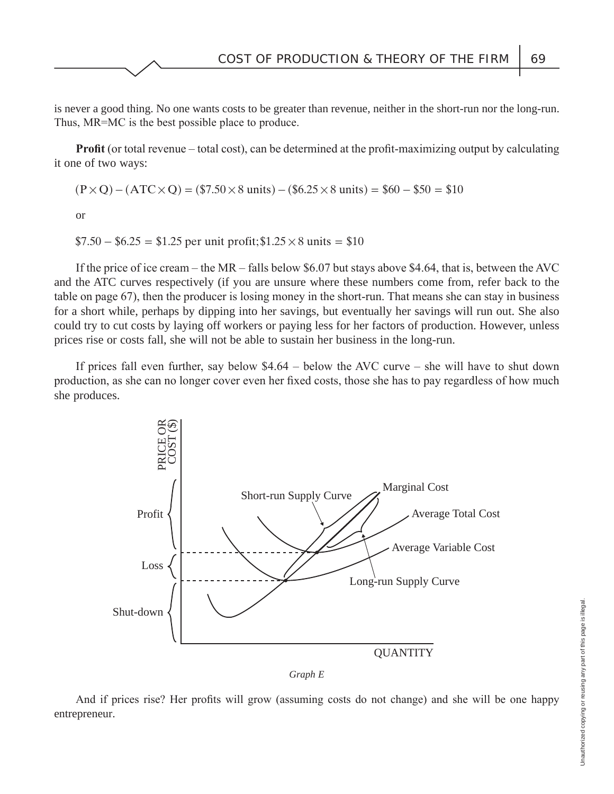is never a good thing. No one wants costs to be greater than revenue, neither in the short-run nor the long-run. Thus, MR=MC is the best possible place to produce.

**Profit** (or total revenue – total cost), can be determined at the profit-maximizing output by calculating it one of two ways:

 $(P \times Q) - (ATC \times Q) = (\$ 7.50 \times 8 \text{ units}) - (\$ 6.25 \times 8 \text{ units}) = \$ 60 - \$ 50 = \$ 10$ 

or

 $$7.50 - $6.25 = $1.25$  per unit profit; \$1.25 × 8 units = \$10

If the price of ice cream – the MR – falls below \$6.07 but stays above \$4.64, that is, between the AVC and the ATC curves respectively (if you are unsure where these numbers come from, refer back to the table on page 67), then the producer is losing money in the short-run. That means she can stay in business for a short while, perhaps by dipping into her savings, but eventually her savings will run out. She also could try to cut costs by laying off workers or paying less for her factors of production. However, unless prices rise or costs fall, she will not be able to sustain her business in the long-run.

If prices fall even further, say below  $$4.64$  – below the AVC curve – she will have to shut down production, as she can no longer cover even her fixed costs, those she has to pay regardless of how much she produces.





And if prices rise? Her profits will grow (assuming costs do not change) and she will be one happy entrepreneur.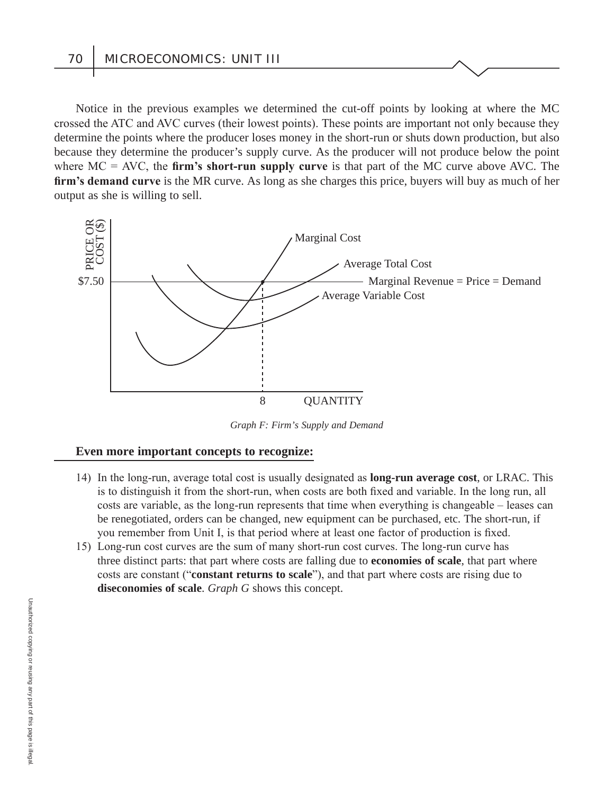Notice in the previous examples we determined the cut-off points by looking at where the MC crossed the ATC and AVC curves (their lowest points). These points are important not only because they determine the points where the producer loses money in the short-run or shuts down production, but also because they determine the producer's supply curve. As the producer will not produce below the point where  $MC = AVC$ , the **firm's short-run supply curve** is that part of the MC curve above AVC. The firm's demand curve is the MR curve. As long as she charges this price, buyers will buy as much of her output as she is willing to sell.



*Graph F: Firm's Supply and Demand*

## **Even more important concepts to recognize:**

- 14) In the long-run, average total cost is usually designated as **long-run average cost**, or LRAC. This is to distinguish it from the short-run, when costs are both fixed and variable. In the long run, all costs are variable, as the long-run represents that time when everything is changeable – leases can be renegotiated, orders can be changed, new equipment can be purchased, etc. The short-run, if you remember from Unit I, is that period where at least one factor of production is fixed.
- 15) Long-run cost curves are the sum of many short-run cost curves. The long-run curve has three distinct parts: that part where costs are falling due to **economies of scale**, that part where costs are constant ("constant returns to scale"), and that part where costs are rising due to **diseconomies of scale**. *Graph G* shows this concept.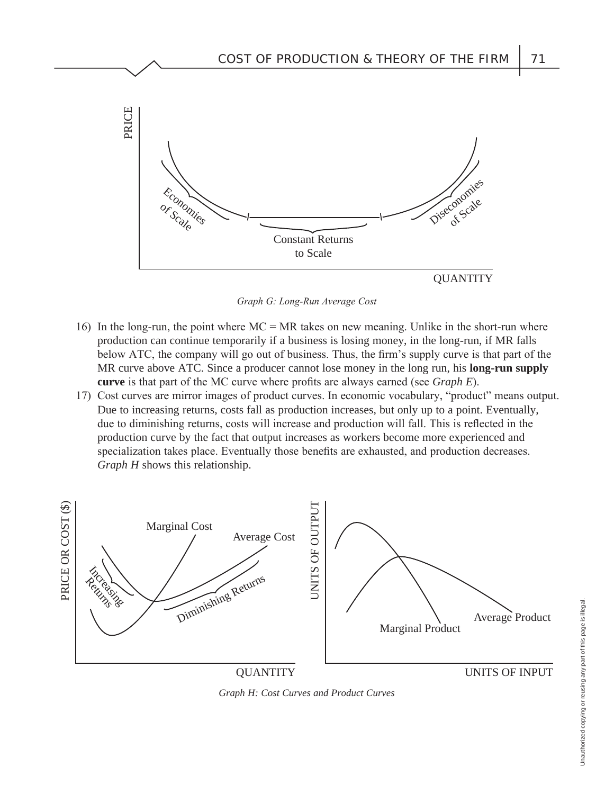

Graph G: Long-Run Average Cost

- 16) In the long-run, the point where  $MC = MR$  takes on new meaning. Unlike in the short-run where production can continue temporarily if a business is losing money, in the long-run, if MR falls below ATC, the company will go out of business. Thus, the firm's supply curve is that part of the MR curve above ATC. Since a producer cannot lose money in the long run, his **long-run supply curve** is that part of the MC curve where profits are always earned (see *Graph E*).
- 17) Cost curves are mirror images of product curves. In economic vocabulary, "product" means output. Due to increasing returns, costs fall as production increases, but only up to a point. Eventually, due to diminishing returns, costs will increase and production will fall. This is reflected in the production curve by the fact that output increases as workers become more experienced and specialization takes place. Eventually those benefits are exhausted, and production decreases. *Graph H* shows this relationship.



*Graph H: Cost Curves and Product Curves*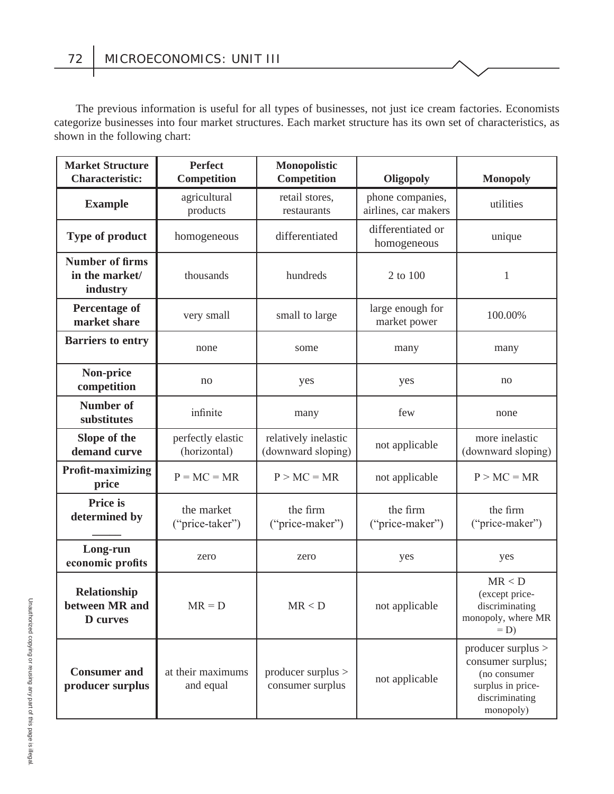The previous information is useful for all types of businesses, not just ice cream factories. Economists categorize businesses into four market structures. Each market structure has its own set of characteristics, as shown in the following chart:

| <b>Market Structure</b><br><b>Characteristic:</b>    | <b>Perfect</b><br>Competition     | Monopolistic<br>Competition                | Oligopoly                                | <b>Monopoly</b>                                                                                             |
|------------------------------------------------------|-----------------------------------|--------------------------------------------|------------------------------------------|-------------------------------------------------------------------------------------------------------------|
| <b>Example</b>                                       | agricultural<br>products          | retail stores,<br>restaurants              | phone companies,<br>airlines, car makers | utilities                                                                                                   |
| Type of product                                      | homogeneous                       | differentiated                             | differentiated or<br>homogeneous         | unique                                                                                                      |
| <b>Number of firms</b><br>in the market/<br>industry | thousands                         | hundreds                                   | 2 to 100                                 | 1                                                                                                           |
| <b>Percentage of</b><br>market share                 | very small                        | small to large                             | large enough for<br>market power         | 100.00%                                                                                                     |
| <b>Barriers</b> to entry                             | none                              | some                                       | many                                     | many                                                                                                        |
| Non-price<br>competition                             | no                                | yes                                        | yes                                      | no                                                                                                          |
| <b>Number of</b><br>substitutes                      | infinite                          | many                                       | few                                      | none                                                                                                        |
| Slope of the<br>demand curve                         | perfectly elastic<br>(horizontal) | relatively inelastic<br>(downward sloping) | not applicable                           | more inelastic<br>(downward sloping)                                                                        |
| <b>Profit-maximizing</b><br>price                    | $P = MC = MR$                     | $P > MC = MR$                              | not applicable                           | $P > MC = MR$                                                                                               |
| Price is<br>determined by                            | the market<br>("price-taker")     | the firm<br>("price-maker")                | the firm<br>("price-maker")              | the firm<br>("price-maker")                                                                                 |
| Long-run<br>economic profits                         | zero                              | zero                                       | yes                                      | yes                                                                                                         |
| Relationship<br>between MR and<br><b>D</b> curves    | $MR = D$                          | MR < D                                     | not applicable                           | MR < D<br>(except price-<br>discriminating<br>monopoly, where MR<br>$= D$                                   |
| <b>Consumer and</b><br>producer surplus              | at their maximums<br>and equal    | producer surplus ><br>consumer surplus     | not applicable                           | producer surplus ><br>consumer surplus;<br>(no consumer<br>surplus in price-<br>discriminating<br>monopoly) |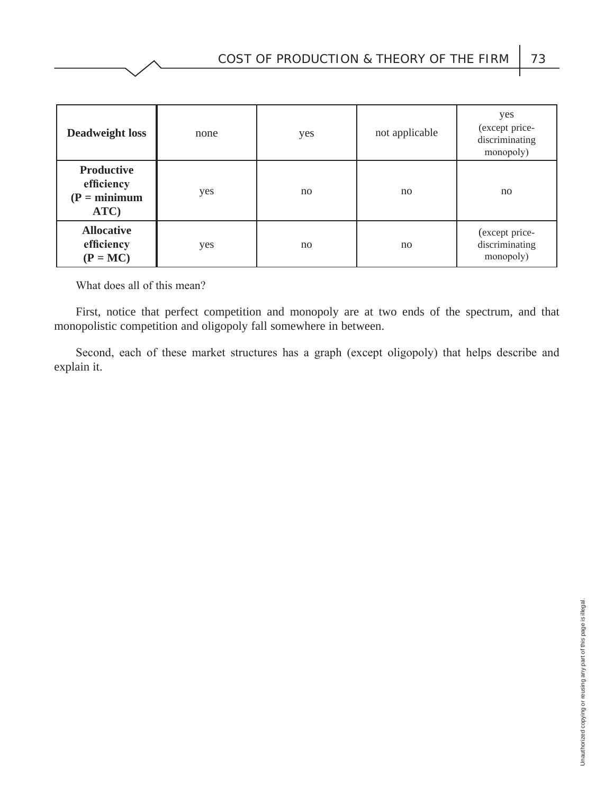| <b>Deadweight loss</b>                                     | none | yes | not applicable | yes<br>(except price-<br>discriminating<br>monopoly) |
|------------------------------------------------------------|------|-----|----------------|------------------------------------------------------|
| <b>Productive</b><br>efficiency<br>$(P = minimum)$<br>ATC) | yes  | no  | no             | no                                                   |
| <b>Allocative</b><br>efficiency<br>$(P = MC)$              | yes  | no  | no             | (except price-<br>discriminating<br>monopoly)        |

What does all of this mean?

First, notice that perfect competition and monopoly are at two ends of the spectrum, and that monopolistic competition and oligopoly fall somewhere in between.

Second, each of these market structures has a graph (except oligopoly) that helps describe and explain it.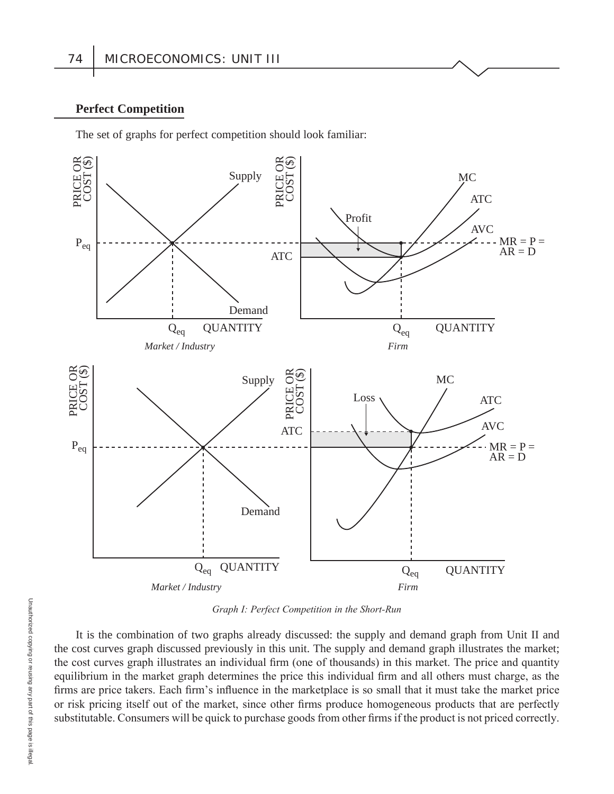# **Perfect Competition**

The set of graphs for perfect competition should look familiar:



Graph I: Perfect Competition in the Short-Run

It is the combination of two graphs already discussed: the supply and demand graph from Unit II and the cost curves graph discussed previously in this unit. The supply and demand graph illustrates the market; the cost curves graph illustrates an individual firm (one of thousands) in this market. The price and quantity equilibrium in the market graph determines the price this individual firm and all others must charge, as the firms are price takers. Each firm's influence in the marketplace is so small that it must take the market price or risk pricing itself out of the market, since other firms produce homogeneous products that are perfectly substitutable. Consumers will be quick to purchase goods from other firms if the product is not priced correctly.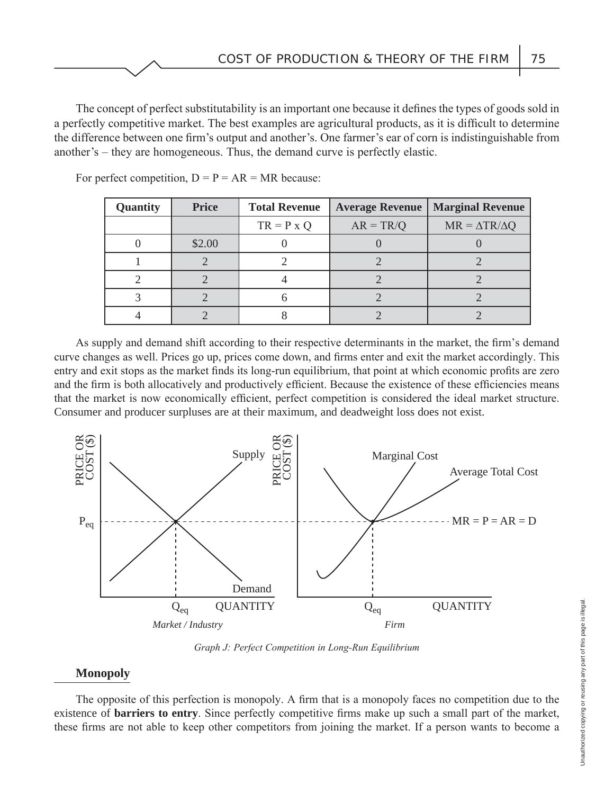The concept of perfect substitutability is an important one because it defines the types of goods sold in a perfectly competitive market. The best examples are agricultural products, as it is difficult to determine the difference between one firm's output and another's. One farmer's ear of corn is indistinguishable from another's  $-$  they are homogeneous. Thus, the demand curve is perfectly elastic.

| <b>Quantity</b> | <b>Price</b> | <b>Total Revenue</b> | <b>Average Revenue</b> | <b>Marginal Revenue</b>   |
|-----------------|--------------|----------------------|------------------------|---------------------------|
|                 |              | $TR = P \times Q$    | $AR = TR/Q$            | $MR = \Delta TR/\Delta Q$ |
|                 | \$2.00       |                      |                        |                           |
|                 |              |                      |                        |                           |
|                 |              |                      |                        |                           |
|                 |              |                      |                        |                           |
|                 |              |                      |                        |                           |

For perfect competition,  $D = P = AR = MR$  because:

As supply and demand shift according to their respective determinants in the market, the firm's demand For curve changes as well. Prices go up, prices come down, and firms enter and exit the market accordingly. This entry and exit stops as the market finds its long-run equilibrium, that point at which economic profits are zero and the firm is both allocatively and productively efficient. Because the existence of these efficiencies means that the market is now economically efficient, perfect competition is considered the ideal market structure. Consumer and producer surpluses are at their maximum, and deadweight loss does not exist.



Graph J: Perfect Competition in Long-Run Equilibrium

## **Monopoly**

The opposite of this perfection is monopoly. A firm that is a monopoly faces no competition due to the existence of **barriers to entry**. Since perfectly competitive firms make up such a small part of the market, these firms are not able to keep other competitors from joining the market. If a person wants to become a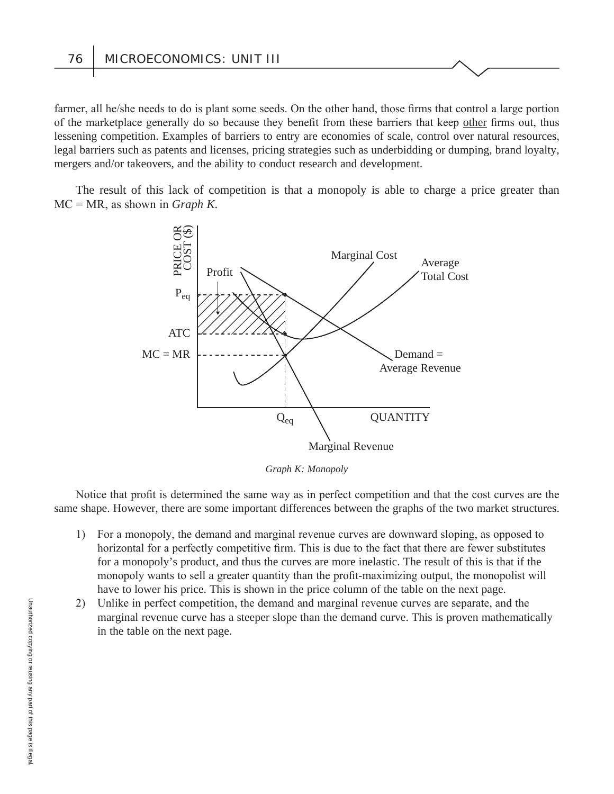farmer, all he/she needs to do is plant some seeds. On the other hand, those firms that control a large portion of the marketplace generally do so because they benefit from these barriers that keep other firms out, thus lessening competition. Examples of barriers to entry are economies of scale, control over natural resources, legal barriers such as patents and licenses, pricing strategies such as underbidding or dumping, brand loyalty, mergers and/or takeovers, and the ability to conduct research and development.

The result of this lack of competition is that a monopoly is able to charge a price greater than  $MC = MR$ , as shown in *Graph K*.



*Graph K: Monopoly*

Notice that profit is determined the same way as in perfect competition and that the cost curves are the same shape. However, there are some important differences between the graphs of the two market structures.

- 1) For a monopoly, the demand and marginal revenue curves are downward sloping, as opposed to horizontal for a perfectly competitive firm. This is due to the fact that there are fewer substitutes for a monopoly's product, and thus the curves are more inelastic. The result of this is that if the monopoly wants to sell a greater quantity than the profit-maximizing output, the monopolist will have to lower his price. This is shown in the price column of the table on the next page.
- 2) Unlike in perfect competition, the demand and marginal revenue curves are separate, and the marginal revenue curve has a steeper slope than the demand curve. This is proven mathematically in the table on the next page.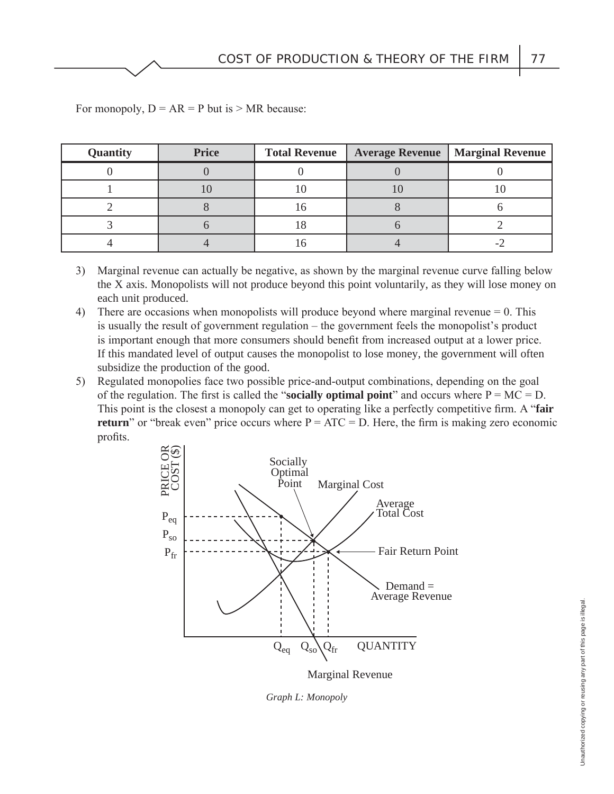| Quantity | <b>Price</b> | <b>Total Revenue</b> | <b>Average Revenue   Marginal Revenue</b> |
|----------|--------------|----------------------|-------------------------------------------|
|          |              |                      |                                           |
|          |              |                      |                                           |
|          |              |                      |                                           |
|          |              |                      |                                           |
|          |              |                      |                                           |

For monopoly,  $D = AR = P$  but is  $> MR$  because:

3) Marginal revenue can actually be negative, as shown by the marginal revenue curve falling below the X axis. Monopolists will not produce beyond this point voluntarily, as they will lose money on each unit produced.

- 4) There are occasions when monopolists will produce beyond where marginal revenue  $= 0$ . This is usually the result of government regulation – the government feels the monopolist's product is important enough that more consumers should benefit from increased output at a lower price. If this mandated level of output causes the monopolist to lose money, the government will often subsidize the production of the good.
- 5) Regulated monopolies face two possible price-and-output combinations, depending on the goal of the regulation. The first is called the "**socially optimal point**" and occurs where  $P = MC = D$ . This point is the closest a monopoly can get to operating like a perfectly competitive firm. A "**fair return**" or "break even" price occurs where  $P = ATC = D$ . Here, the firm is making zero economic profits.



#### Marginal Revenue

*Graph L: Monopoly*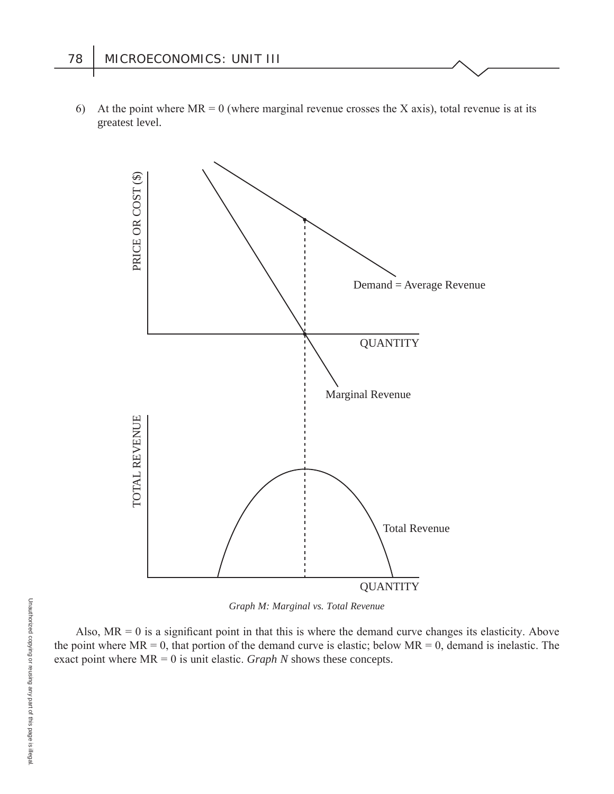6) At the point where  $MR = 0$  (where marginal revenue crosses the X axis), total revenue is at its greatest level.



*Graph M: Marginal vs. Total Revenue*

Also,  $MR = 0$  is a significant point in that this is where the demand curve changes its elasticity. Above the point where  $MR = 0$ , that portion of the demand curve is elastic; below  $MR = 0$ , demand is inelastic. The exact point where  $MR = 0$  is unit elastic. *Graph N* shows these concepts.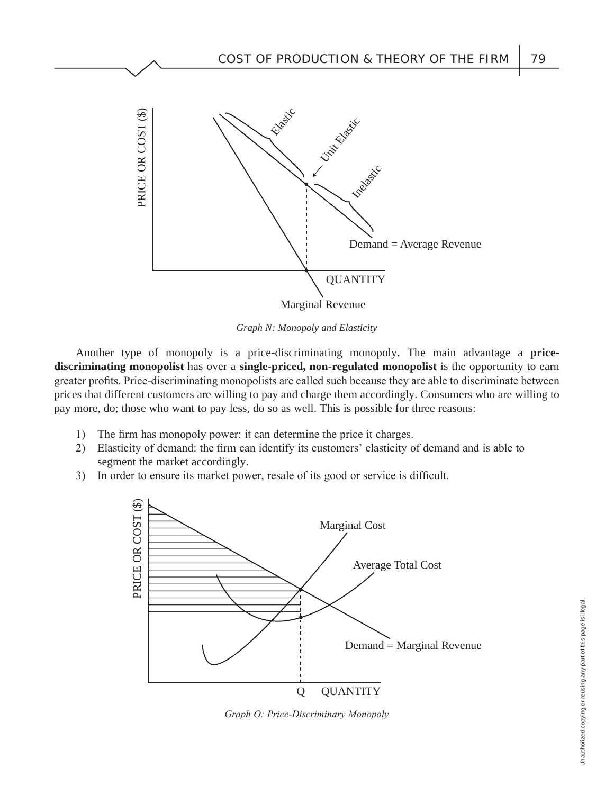

*Graph N: Monopoly and Elasticity*

Another type of monopoly is a price-discriminating monopoly. The main advantage a **pricediscriminating monopolist** has over a **single-priced, non-regulated monopolist** is the opportunity to earn greater profits. Price-discriminating monopolists are called such because they are able to discriminate between prices that different customers are willing to pay and charge them accordingly. Consumers who are willing to pay more, do; those who want to pay less, do so as well. This is possible for three reasons:

- 1) The firm has monopoly power: it can determine the price it charges.
- 2) Elasticity of demand: the firm can identify its customers' elasticity of demand and is able to segment the market accordingly.
- 3) In order to ensure its market power, resale of its good or service is difficult.



Graph O: Price-Discriminary Monopoly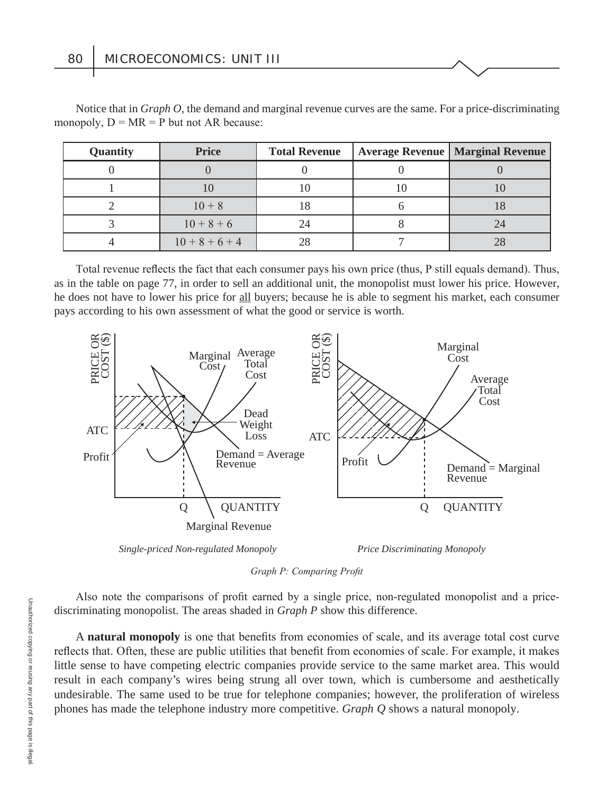| Quantity | <b>Price</b>     | <b>Total Revenue</b> | <b>Average Revenue   Marginal Revenue  </b> |
|----------|------------------|----------------------|---------------------------------------------|
|          |                  |                      |                                             |
|          |                  |                      |                                             |
|          | $10 + 8$         |                      |                                             |
|          | $10 + 8 + 6$     |                      |                                             |
|          | $10 + 8 + 6 + 4$ |                      |                                             |

Notice that in *Graph O*, the demand and marginal revenue curves are the same. For a price-discriminating monopoly,  $D = MR = P$  but not AR because:

Total revenue reflects the fact that each consumer pays his own price (thus, P still equals demand). Thus, as in the table on page 77, in order to sell an additional unit, the monopolist must lower his price. However, he does not have to lower his price for all buyers; because he is able to segment his market, each consumer pays according to his own assessment of what the good or service is worth.



*Single-priced Non-regulated Monopoly*

 *Price Discriminating Monopoly*

Graph P: Comparing Profit

Also note the comparisons of profit earned by a single price, non-regulated monopolist and a pricediscriminating monopolist. The areas shaded in *Graph P* show this difference.

A **natural monopoly** is one that benefits from economies of scale, and its average total cost curve reflects that. Often, these are public utilities that benefit from economies of scale. For example, it makes little sense to have competing electric companies provide service to the same market area. This would result in each company's wires being strung all over town, which is cumbersome and aesthetically undesirable. The same used to be true for telephone companies; however, the proliferation of wireless phones has made the telephone industry more competitive. *Graph Q* shows a natural monopoly.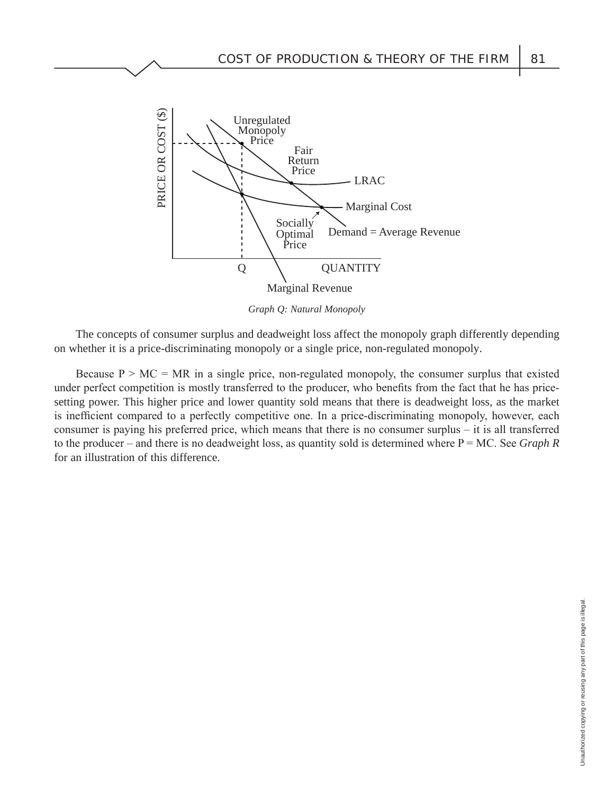

The concepts of consumer surplus and deadweight loss affect the monopoly graph differently depending on whether it is a price-discriminating monopoly or a single price, non-regulated monopoly.

Because  $P > MC = MR$  in a single price, non-regulated monopoly, the consumer surplus that existed under perfect competition is mostly transferred to the producer, who benefits from the fact that he has pricesetting power. This higher price and lower quantity sold means that there is deadweight loss, as the market is inefficient compared to a perfectly competitive one. In a price-discriminating monopoly, however, each consumer is paying his preferred price, which means that there is no consumer surplus  $-$  it is all transferred to the producer – and there is no deadweight loss, as quantity sold is determined where  $P = MC$ . See *Graph R* for an illustration of this difference.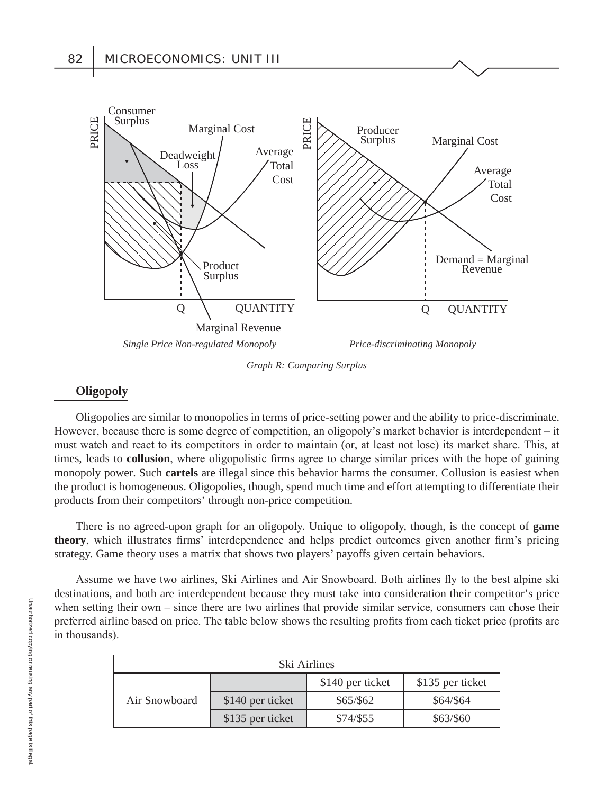

*Graph R: Comparing Surplus*

# **Oligopoly**

Oligopolies are similar to monopolies in terms of price-setting power and the ability to price-discriminate. However, because there is some degree of competition, an oligopoly's market behavior is interdependent – it must watch and react to its competitors in order to maintain (or, at least not lose) its market share. This, at times, leads to **collusion**, where oligopolistic firms agree to charge similar prices with the hope of gaining monopoly power. Such **cartels** are illegal since this behavior harms the consumer. Collusion is easiest when the product is homogeneous. Oligopolies, though, spend much time and effort attempting to differentiate their products from their competitors' through non-price competition.

There is no agreed-upon graph for an oligopoly. Unique to oligopoly, though, is the concept of **game**  theory, which illustrates firms' interdependence and helps predict outcomes given another firm's pricing strategy. Game theory uses a matrix that shows two players' payoffs given certain behaviors.

Assume we have two airlines, Ski Airlines and Air Snowboard. Both airlines fly to the best alpine ski destinations, and both are interdependent because they must take into consideration their competitor's price when setting their own  $-$  since there are two airlines that provide similar service, consumers can chose their preferred airline based on price. The table below shows the resulting profits from each ticket price (profits are in thousands).

| Ski Airlines  |                  |                  |                  |  |
|---------------|------------------|------------------|------------------|--|
|               |                  | \$140 per ticket | \$135 per ticket |  |
| Air Snowboard | \$140 per ticket | \$65/\$62        | \$64/\$64        |  |
|               | \$135 per ticket | \$74/\$55        | \$63/\$60        |  |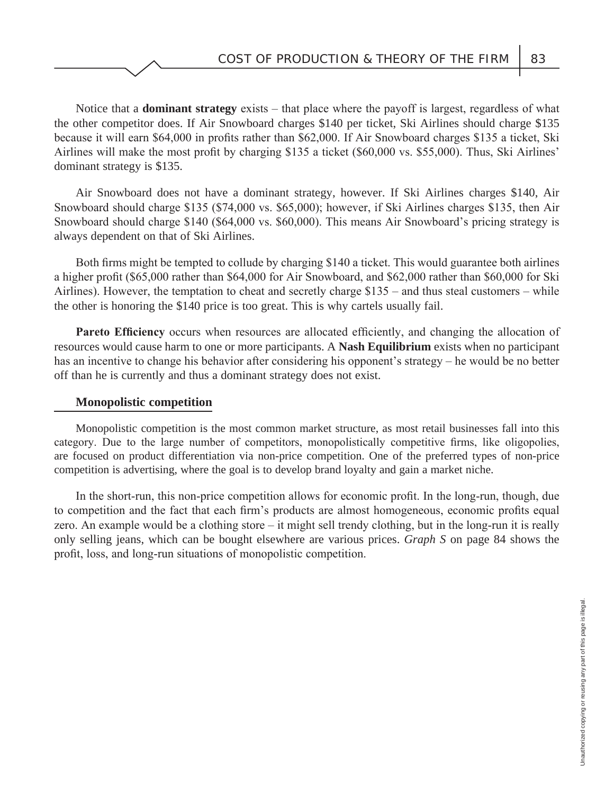Notice that a **dominant strategy** exists – that place where the payoff is largest, regardless of what the other competitor does. If Air Snowboard charges \$140 per ticket, Ski Airlines should charge \$135 because it will earn \$64,000 in profits rather than \$62,000. If Air Snowboard charges \$135 a ticket, Ski Airlines will make the most profit by charging \$135 a ticket (\$60,000 vs. \$55,000). Thus, Ski Airlines' dominant strategy is \$135.

Air Snowboard does not have a dominant strategy, however. If Ski Airlines charges \$140, Air Snowboard should charge  $$135$  ( $$74,000$  vs.  $$65,000$ ); however, if Ski Airlines charges  $$135$ , then Air Snowboard should charge  $$140 ($64,000 vs. $60,000)$ . This means Air Snowboard's pricing strategy is always dependent on that of Ski Airlines.

Both firms might be tempted to collude by charging \$140 a ticket. This would guarantee both airlines a higher profit (\$65,000 rather than \$64,000 for Air Snowboard, and \$62,000 rather than \$60,000 for Ski Airlines). However, the temptation to cheat and secretly charge  $$135$  – and thus steal customers – while the other is honoring the \$140 price is too great. This is why cartels usually fail.

**Pareto Efficiency** occurs when resources are allocated efficiently, and changing the allocation of resources would cause harm to one or more participants. A **Nash Equilibrium** exists when no participant has an incentive to change his behavior after considering his opponent's strategy – he would be no better off than he is currently and thus a dominant strategy does not exist.

## **Monopolistic competition**

Monopolistic competition is the most common market structure, as most retail businesses fall into this category. Due to the large number of competitors, monopolistically competitive firms, like oligopolies, are focused on product differentiation via non-price competition. One of the preferred types of non-price competition is advertising, where the goal is to develop brand loyalty and gain a market niche.

In the short-run, this non-price competition allows for economic profit. In the long-run, though, due to competition and the fact that each firm's products are almost homogeneous, economic profits equal zero. An example would be a clothing store  $-$  it might sell trendy clothing, but in the long-run it is really only selling jeans, which can be bought elsewhere are various prices. *Graph S* on page 84 shows the profit, loss, and long-run situations of monopolistic competition.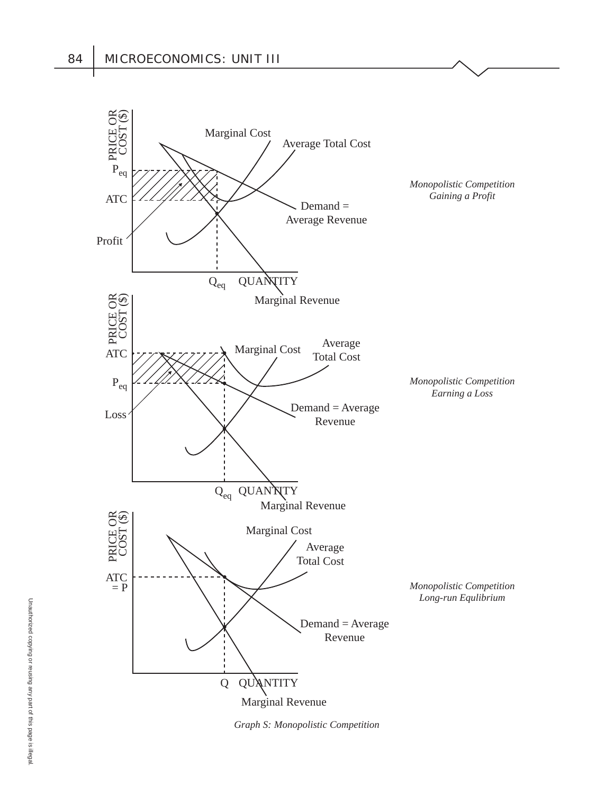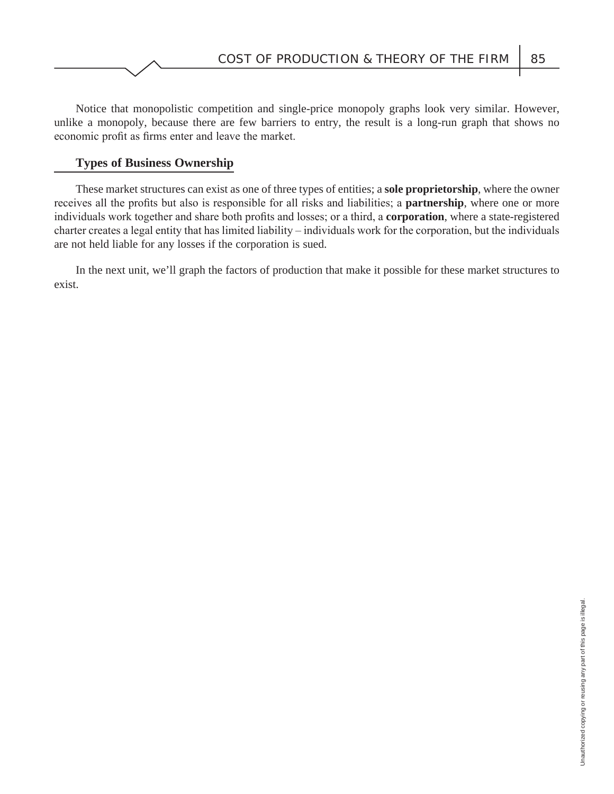Notice that monopolistic competition and single-price monopoly graphs look very similar. However, unlike a monopoly, because there are few barriers to entry, the result is a long-run graph that shows no economic profit as firms enter and leave the market.

# **Types of Business Ownership**

These market structures can exist as one of three types of entities; a **sole proprietorship**, where the owner receives all the profits but also is responsible for all risks and liabilities; a **partnership**, where one or more individuals work together and share both profits and losses; or a third, a **corporation**, where a state-registered charter creates a legal entity that has limited liability - individuals work for the corporation, but the individuals are not held liable for any losses if the corporation is sued.

In the next unit, we'll graph the factors of production that make it possible for these market structures to exist.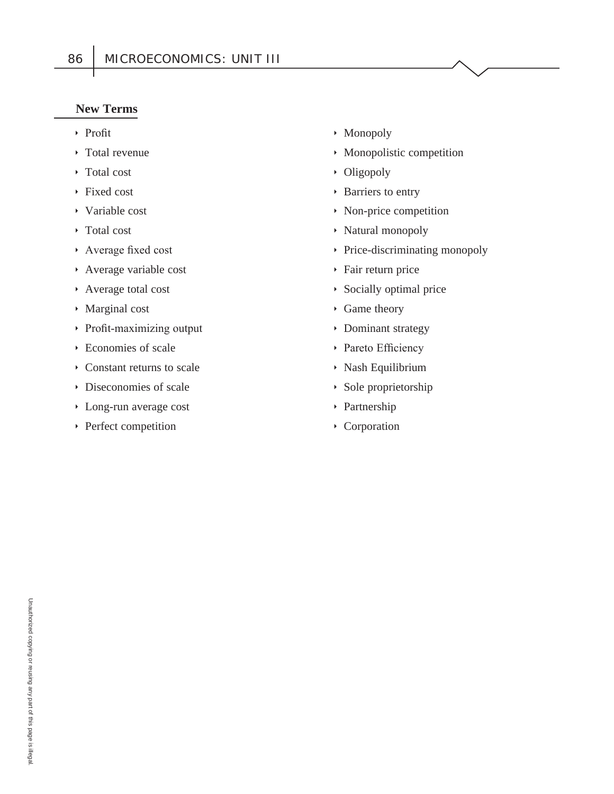## **New Terms**

- ▶ Profit
- $\rightarrow$  Total revenue
- $\rightarrow$  Total cost
- ▶ Fixed cost
- $\rightarrow$  Variable cost
- $\rightarrow$  Total cost
- ▶ Average fixed cost
- **Average variable cost**
- ▶ Average total cost
- ▶ Marginal cost
- Profit-maximizing output
- $\rightarrow$  Economies of scale
- $\rightarrow$  Constant returns to scale
- $\rightarrow$  Diseconomies of scale
- **Long-run average cost**
- **Perfect competition**
- **Monopoly**
- $\rightarrow$  Monopolistic competition
- Oligopoly
- **Barriers to entry**
- $\rightarrow$  Non-price competition
- $\rightarrow$  Natural monopoly
- **Price-discriminating monopoly**
- **Fair return price**
- $\rightarrow$  Socially optimal price
- **Game** theory
- Dominant strategy
- Pareto Efficiency
- $\rightarrow$  Nash Equilibrium
- $\rightarrow$  Sole proprietorship
- **Partnership**
- **Corporation**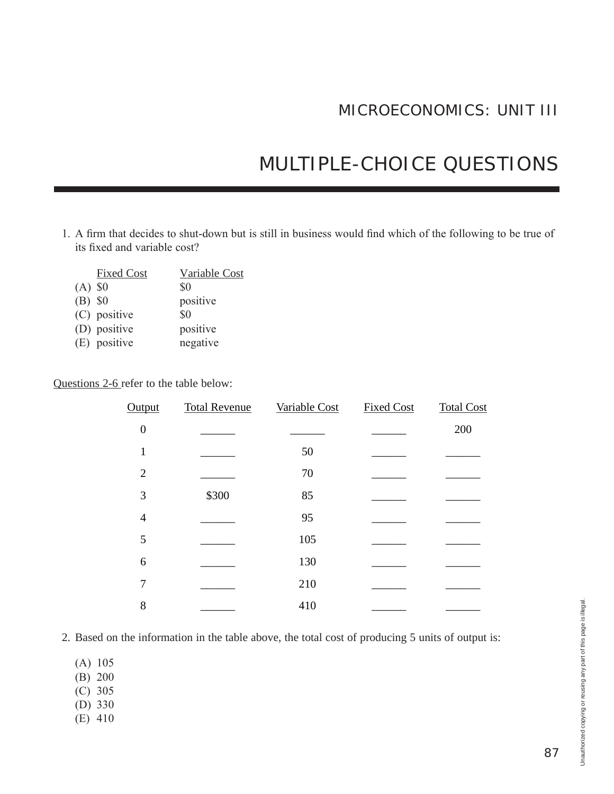# MICROECONOMICS: UNIT III

# MULTIPLE-CHOICE QUESTIONS

1. A firm that decides to shut-down but is still in business would find which of the following to be true of its fixed and variable cost?

|         | <b>Fixed Cost</b> | <b>Variable Cost</b> |
|---------|-------------------|----------------------|
| (A) \$0 |                   | \$0                  |
| (B) \$0 |                   | positive             |
|         | (C) positive      | \$0                  |
|         | (D) positive      | positive             |
|         | (E) positive      | negative             |
|         |                   |                      |

Questions 2-6 refer to the table below:

| Output           | <b>Total Revenue</b> | Variable Cost | <b>Fixed Cost</b> | <b>Total Cost</b> |
|------------------|----------------------|---------------|-------------------|-------------------|
| $\boldsymbol{0}$ |                      |               |                   | 200               |
| 1                |                      | 50            |                   |                   |
| $\overline{2}$   |                      | 70            |                   |                   |
| 3                | \$300                | 85            |                   |                   |
| $\overline{4}$   |                      | 95            |                   |                   |
| 5                |                      | 105           |                   |                   |
| 6                |                      | 130           |                   |                   |
| 7                |                      | 210           |                   |                   |
| 8                |                      | 410           |                   |                   |

2. Based on the information in the table above, the total cost of producing 5 units of output is:

- $(A)$  105
- $(B) 200$
- $(C) 305$
- $(D)$  330
- $(E)$  410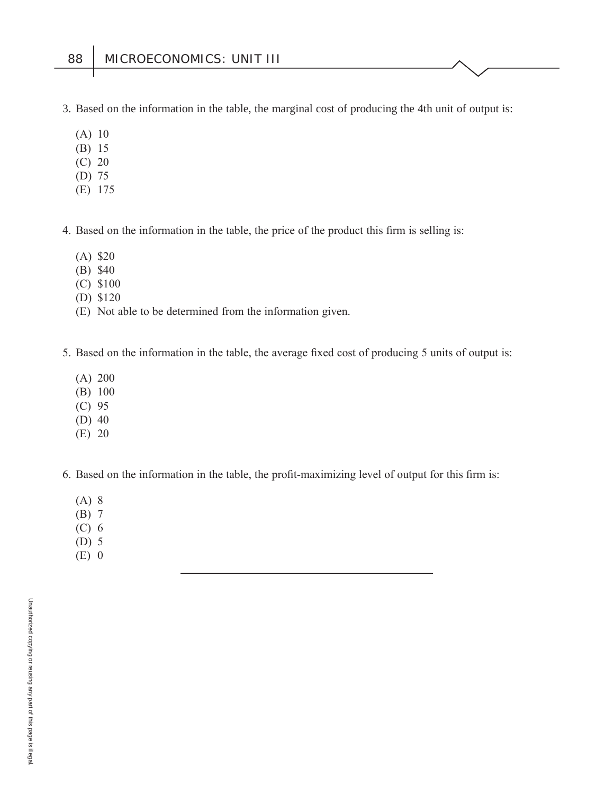- 3. Based on the information in the table, the marginal cost of producing the 4th unit of output is:
	- $(A) 10$
	- $(B) 15$
	- $(C)$  20
	- (D)  $75$
	- $(E)$  175

4. Based on the information in the table, the price of the product this firm is selling is:

- $(A)$  \$20
- (B) \$40
- $(C)$  \$100
- (D)  $$120$
- (E) Not able to be determined from the information given.
- 5. Based on the information in the table, the average fixed cost of producing 5 units of output is:
	- $(A) 200$
	- $(B) 100$
	- $(C) 95$
	- $(D)$  40
	- $(E)$  20
- 6. Based on the information in the table, the profit-maximizing level of output for this firm is:
	- $(A)$  8
	- $(B)$  7
	- $(C)$  6
	- $(D)$  5
	- $(E)$  0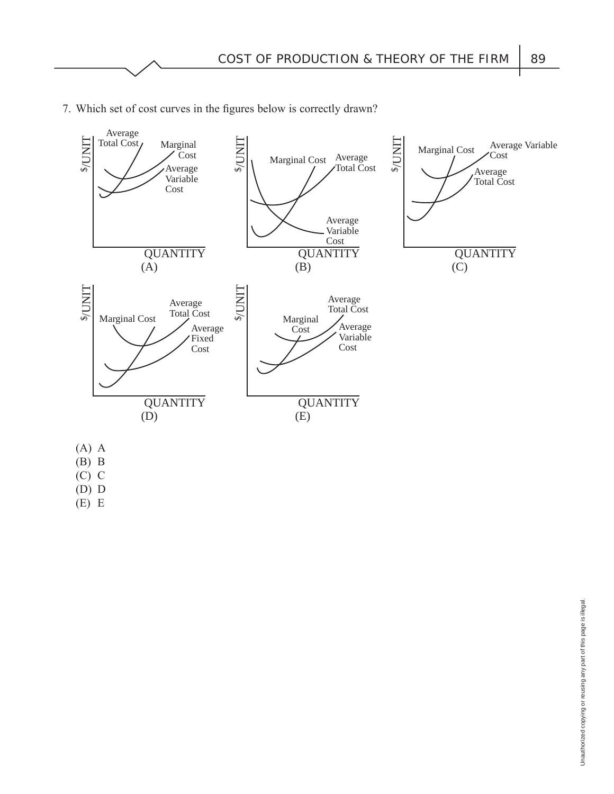89

- Average  $V$  MML  $$7\text{IMUT}$  $$7$  UNIT Total Cost Marginal<br>
Cost Average Variable **Marginal Cost** Cost Marginal Cost Average Total Cost Average Average Variable Total Cost Cost Average Variable  $Cost$ **QUANTITY QUANTITY QUANTITY**  $(A)$  $(B)$  $(C)$ TINIT<sub>8</sub>  $$7\rm{UNIT}$ Average Average Total Cost Total Cost Marginal Cost Marginal Average Average  $\overline{\mathrm{Cost}}$ Fixed Variable  $Cost$ Cost **QUANTITY QUANTITY**  $(D)$  $(E)$
- 7. Which set of cost curves in the figures below is correctly drawn?

- $(A)$  A
- $(B)$  B
- $(C)$  C
- $(D)$  D
- $(E) E$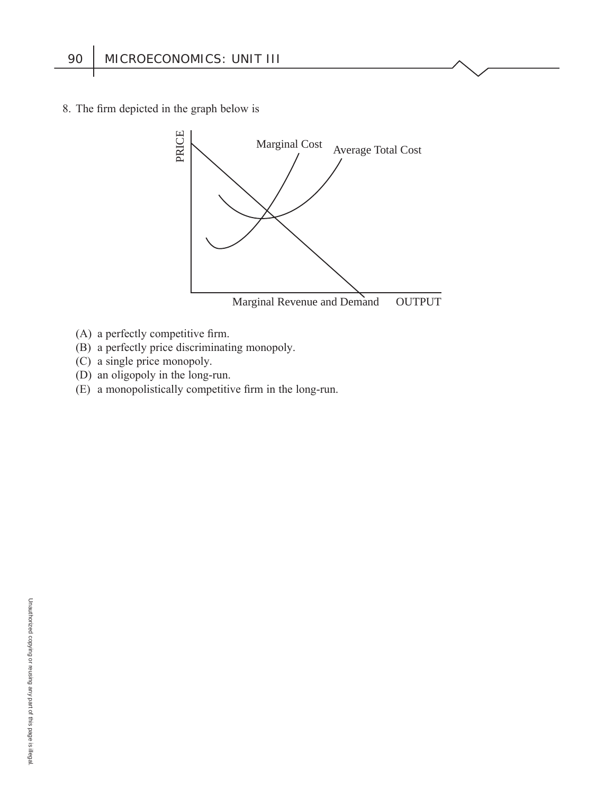8. The firm depicted in the graph below is



- $(A)$  a perfectly competitive firm.
- (B) a perfectly price discriminating monopoly.
- $(C)$  a single price monopoly.
- (D) an oligopoly in the long-run.
- (E) a monopolistically competitive firm in the long-run.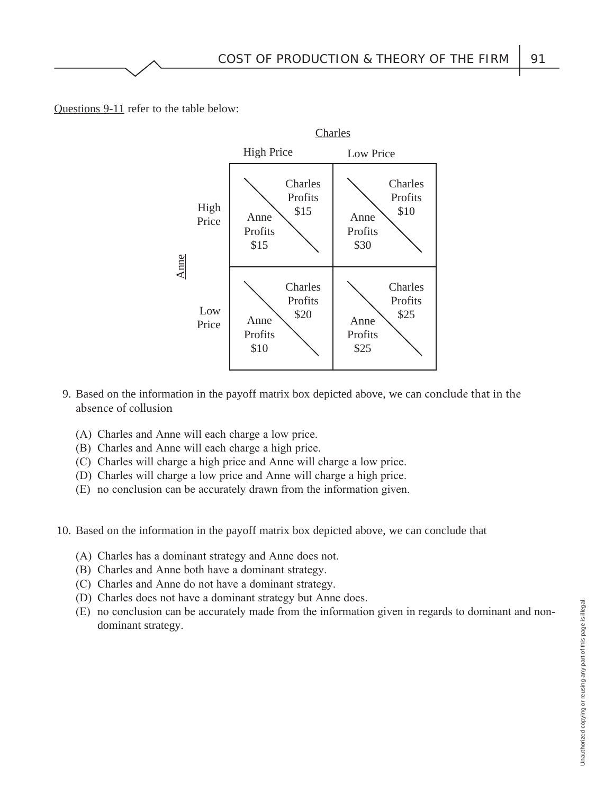Questions 9-11 refer to the table below:



- 9. Based on the information in the payoff matrix box depicted above, we can conclude that in the absence of collusion
	- $(A)$  Charles and Anne will each charge a low price.
	- (B) Charles and Anne will each charge a high price.
	- (C) Charles will charge a high price and Anne will charge a low price.
	- (D) Charles will charge a low price and Anne will charge a high price.
	- $(E)$  no conclusion can be accurately drawn from the information given.
- 10. Based on the information in the payoff matrix box depicted above, we can conclude that
	- (A) Charles has a dominant strategy and Anne does not.
	- (B) Charles and Anne both have a dominant strategy.
	- (C) Charles and Anne do not have a dominant strategy.
	- (D) Charles does not have a dominant strategy but Anne does.
	- (E) no conclusion can be accurately made from the information given in regards to dominant and nondominant strategy.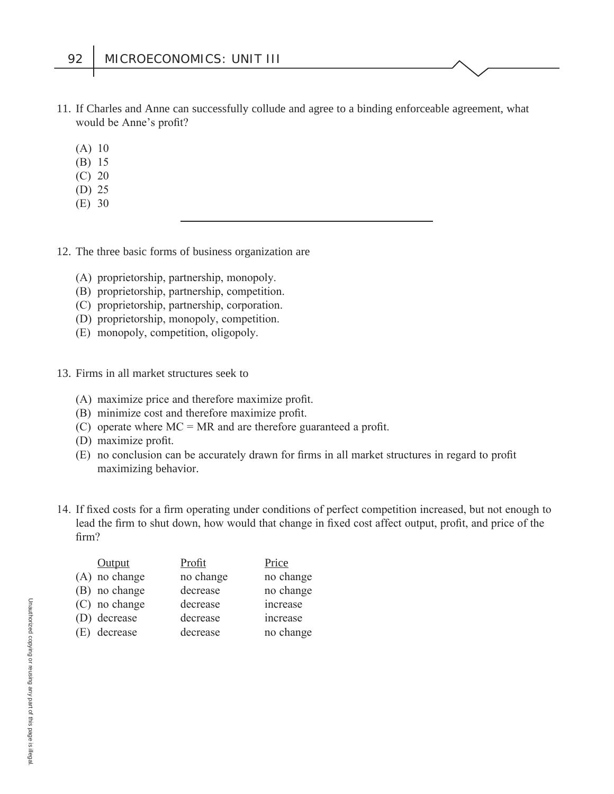- 11. If Charles and Anne can successfully collude and agree to a binding enforceable agreement, what would be Anne's profit?
	- $(A) 10$
	- $(B) 15$
	- $(C) 20$
	- $(D)$  25
	- $(E) 30$

12. The three basic forms of business organization are

- (A) proprietorship, partnership, monopoly.
- (B) proprietorship, partnership, competition.
- (C) proprietorship, partnership, corporation.
- (D) proprietorship, monopoly, competition.
- $(E)$  monopoly, competition, oligopoly.
- 13. Firms in all market structures seek to
	- (A) maximize price and therefore maximize profit.
	- (B) minimize cost and therefore maximize profit.
	- $(C)$  operate where MC = MR and are therefore guaranteed a profit.
	- (D) maximize profit.
	- (E) no conclusion can be accurately drawn for firms in all market structures in regard to profit maximizing behavior.
- 14. If fixed costs for a firm operating under conditions of perfect competition increased, but not enough to lead the firm to shut down, how would that change in fixed cost affect output, profit, and price of the  $firm?$

| <b>Output</b>   | Profit    | Price     |
|-----------------|-----------|-----------|
| $(A)$ no change | no change | no change |
| (B) no change   | decrease  | no change |
| $(C)$ no change | decrease  | increase  |
| (D) decrease    | decrease  | increase  |
| (E) decrease    | decrease  | no change |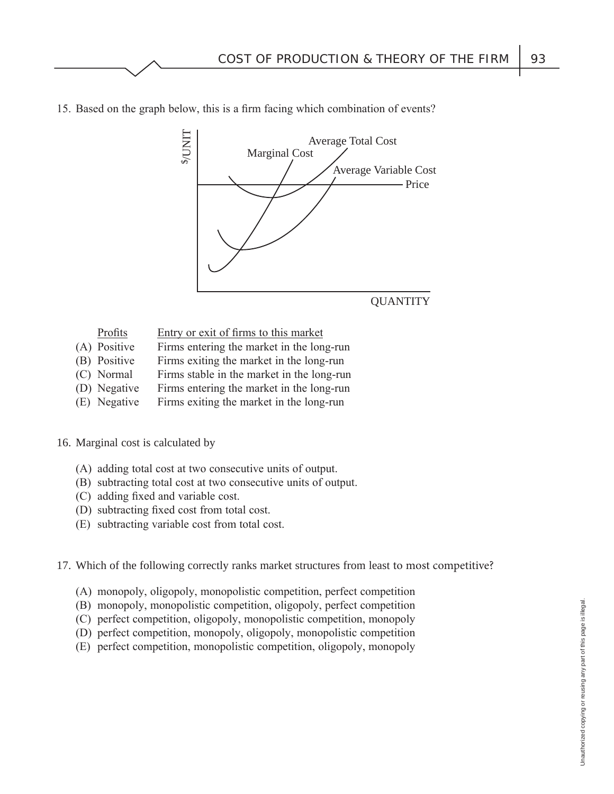

15. Based on the graph below, this is a firm facing which combination of events?



- (A) Positive Firms entering the market in the long-run
- (B) Positive Firms exiting the market in the long-run
- (C) Normal Firms stable in the market in the long-run
- (D) Negative Firms entering the market in the long-run
- (E) Negative Firms exiting the market in the long-run
- 16. Marginal cost is calculated by
	- $(A)$  adding total cost at two consecutive units of output.
	- (B) subtracting total cost at two consecutive units of output.
	- $(C)$  adding fixed and variable cost.
	- (D) subtracting fixed cost from total cost.
	- (E) subtracting variable cost from total cost.

17. Which of the following correctly ranks market structures from least to most competitive?

- (A) monopoly, oligopoly, monopolistic competition, perfect competition
- (B) monopoly, monopolistic competition, oligopoly, perfect competition
- (C) perfect competition, oligopoly, monopolistic competition, monopoly
- (D) perfect competition, monopoly, oligopoly, monopolistic competition
- (E) perfect competition, monopolistic competition, oligopoly, monopoly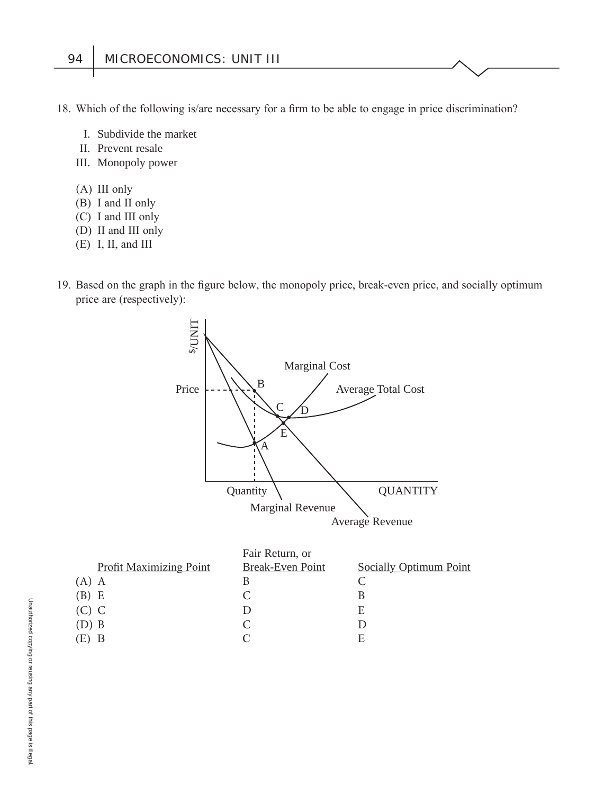18. Which of the following is/are necessary for a firm to be able to engage in price discrimination?

- I. Subdivide the market
- II. Prevent resale
- III. Monopoly power
- $(A)$  III only
- $(B)$  I and II only
- $(C)$  I and III only
- (D) II and III only
- $(E)$  I, II, and III
- 19. Based on the graph in the figure below, the monopoly price, break-even price, and socially optimum price are (respectively):





Unauthorized copying or reusing any part of this page is illegal. Unauthorized copying or reusing any part of this page is illegal.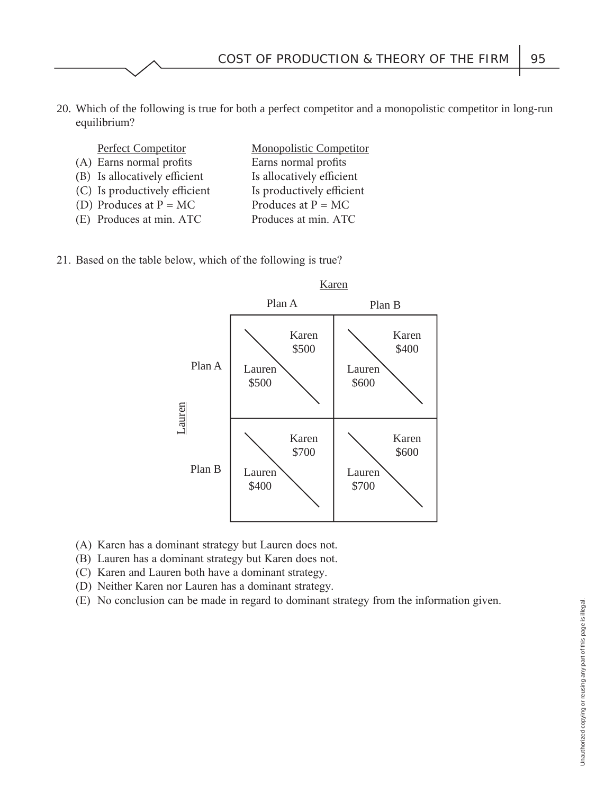20. Which of the following is true for both a perfect competitor and a monopolistic competitor in long-run equilibrium?

| <b>Perfect Competitor</b>     | <b>Monopolistic Competitor</b> |
|-------------------------------|--------------------------------|
| (A) Earns normal profits      | Earns normal profits           |
| (B) Is allocatively efficient | Is allocatively efficient      |
| (C) Is productively efficient | Is productively efficient      |
| (D) Produces at $P = MC$      | Produces at $P = MC$           |
| (E) Produces at min. ATC      | Produces at min. ATC           |

21. Based on the table below, which of the following is true?



- (A) Karen has a dominant strategy but Lauren does not.
- (B) Lauren has a dominant strategy but Karen does not.
- (C) Karen and Lauren both have a dominant strategy.
- (D) Neither Karen nor Lauren has a dominant strategy.
- (E) No conclusion can be made in regard to dominant strategy from the information given.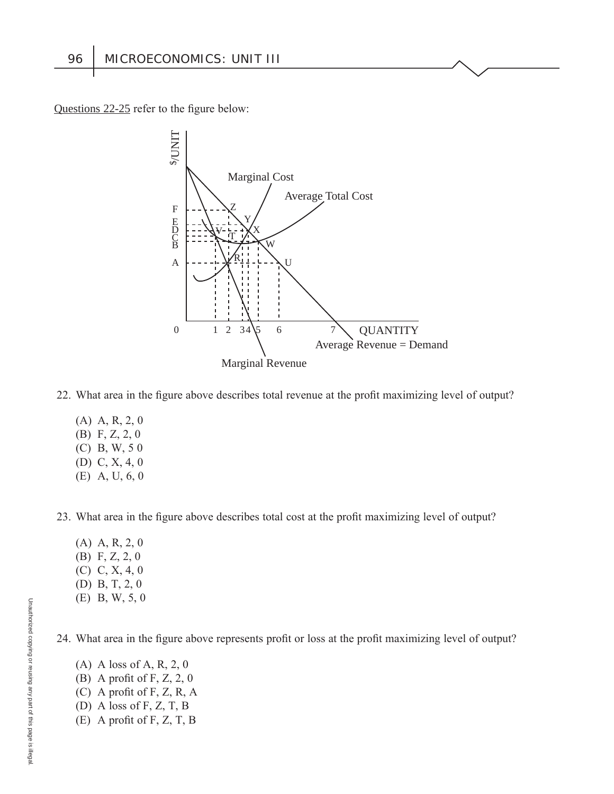Questions 22-25 refer to the figure below:



22. What area in the figure above describes total revenue at the profit maximizing level of output?

 $(A)$  A, R, 2, 0  $(B)$  F, Z, 2, 0  $(C)$  B, W, 50  $(D)$  C, X, 4, 0  $(E)$  A, U, 6, 0

23. What area in the figure above describes total cost at the profit maximizing level of output?

 $(A)$  A, R, 2, 0  $(B)$  F, Z, 2, 0  $(C) C, X, 4, 0$  $(D)$  B, T, 2, 0  $(E)$  B, W, 5, 0

24. What area in the figure above represents profit or loss at the profit maximizing level of output?

- (A) A loss of A, R, 2, 0
- (B) A profit of F, Z, 2, 0
- $(C)$  A profit of F, Z, R, A
- (D) A loss of F, Z, T, B
- $(E)$  A profit of F, Z, T, B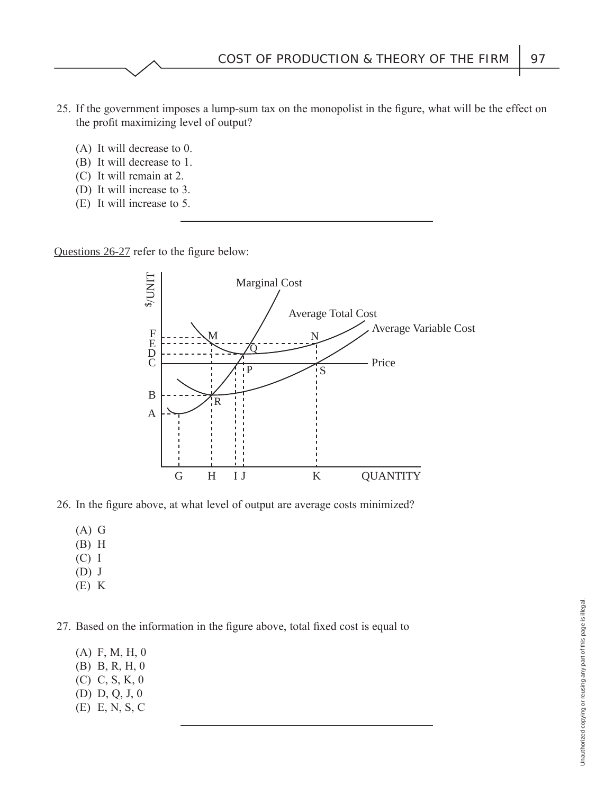- 25. If the government imposes a lump-sum tax on the monopolist in the figure, what will be the effect on the profit maximizing level of output?
	- $(A)$  It will decrease to 0.
	- (B) It will decrease to 1.
	- (C) It will remain at 2.
	- (D) It will increase to 3.
	- (E) It will increase to 5.

Questions 26-27 refer to the figure below:



26. In the figure above, at what level of output are average costs minimized?

- $(A)$  G
- $(B)$  H
- $(C)$  I
- $(D)$  J
- $(E)$  K

27. Based on the information in the figure above, total fixed cost is equal to

 $(A)$  F, M, H, 0 (B) B, R, H, 0  $(C) C, S, K, 0$ (D)  $D, Q, J, 0$  $(E)$  E, N, S, C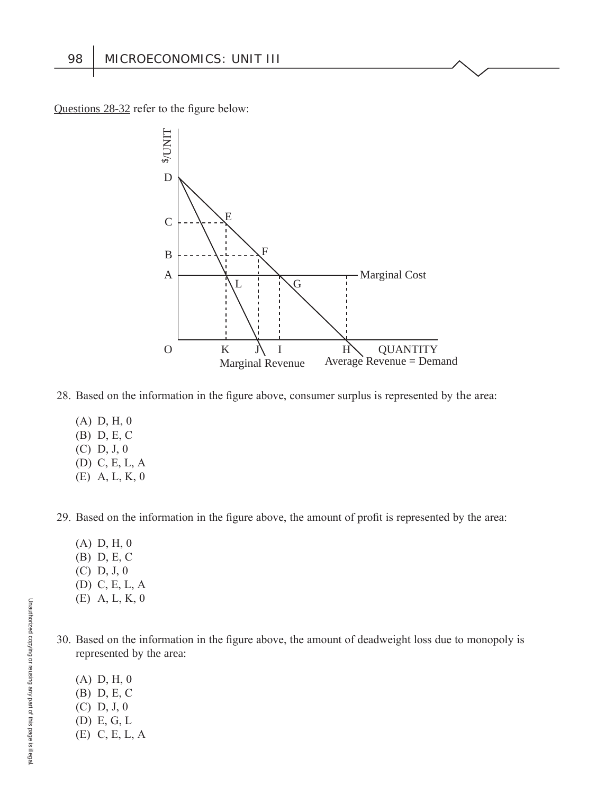Questions 28-32 refer to the figure below:





 $(A)$  D, H, 0  $(B)$  D, E, C  $(C)$  D, J, 0  $(D)$  C, E, L, A  $(E)$  A, L, K, 0

29. Based on the information in the figure above, the amount of profit is represented by the area:

- $(A)$  D, H, 0  $(B)$  D, E, C  $(C)$  D, J, 0  $(D)$  C, E, L, A  $(E)$  A, L, K, 0
- 30. Based on the information in the figure above, the amount of deadweight loss due to monopoly is represented by the area:
	- $(A)$  D, H, 0  $(B)$  D, E, C  $(C)$  D, J, 0  $(D)$  E, G, L  $(E)$  C, E, L, A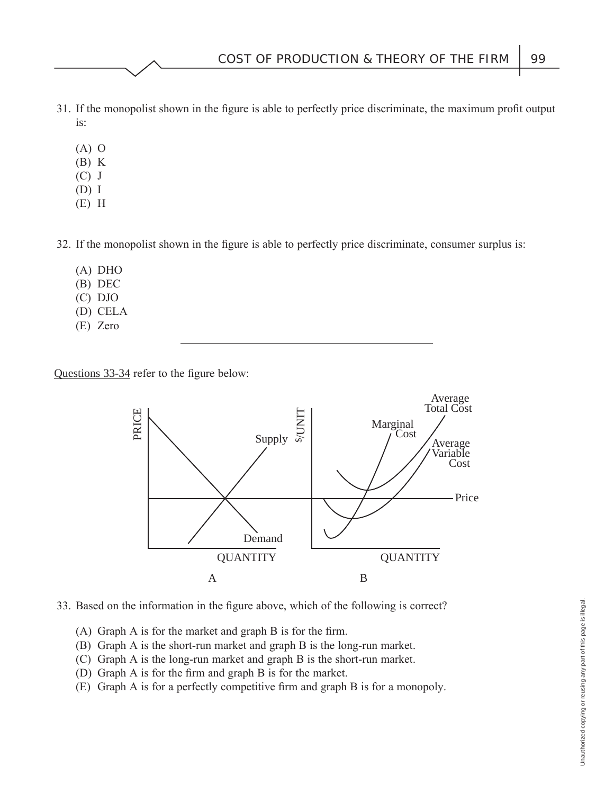- 31. If the monopolist shown in the figure is able to perfectly price discriminate, the maximum profit output is:
	- $(A)$  O
	- $(B) K$
	- $(C)$  J
	- $(D)$  I
	- $(E)$  H
- 32. If the monopolist shown in the figure is able to perfectly price discriminate, consumer surplus is:
	- $(A)$  DHO
	- $(B)$  DEC
	- $(C)$  DJO
	- $(D)$  CELA
	- $(E)$  Zero

Questions 33-34 refer to the figure below:



- 33. Based on the information in the figure above, which of the following is correct?
	- $(A)$  Graph A is for the market and graph B is for the firm.
	- (B) Graph A is the short-run market and graph B is the long-run market.
	- $(C)$  Graph A is the long-run market and graph B is the short-run market.
	- (D) Graph A is for the firm and graph B is for the market.
	- $(E)$  Graph A is for a perfectly competitive firm and graph B is for a monopoly.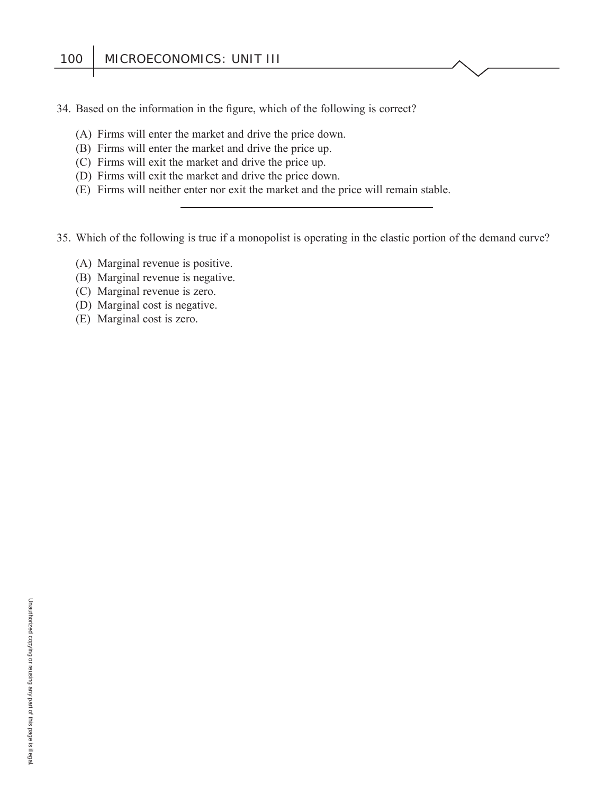- 34. Based on the information in the figure, which of the following is correct?
	- (A) Firms will enter the market and drive the price down.
	- (B) Firms will enter the market and drive the price up.
	- (C) Firms will exit the market and drive the price up.
	- (D) Firms will exit the market and drive the price down.
	- (E) Firms will neither enter nor exit the market and the price will remain stable.
- 35. Which of the following is true if a monopolist is operating in the elastic portion of the demand curve?
	- (A) Marginal revenue is positive.
	- (B) Marginal revenue is negative.
	- (C) Marginal revenue is zero.
	- (D) Marginal cost is negative.
	- (E) Marginal cost is zero.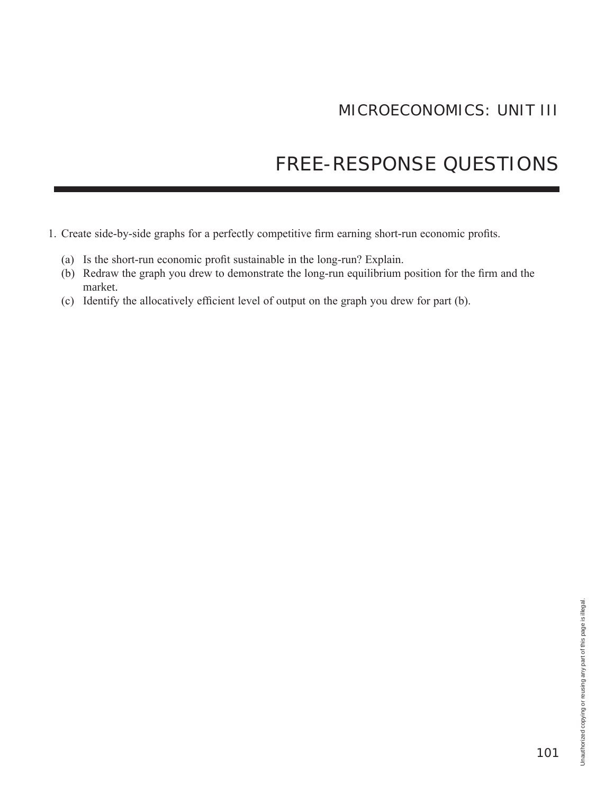# MICROECONOMICS: UNIT III

# FREE-RESPONSE QUESTIONS

- 1. Create side-by-side graphs for a perfectly competitive firm earning short-run economic profits.
	- (a) Is the short-run economic profit sustainable in the long-run? Explain.
	- (b) Redraw the graph you drew to demonstrate the long-run equilibrium position for the firm and the market.
	- (c) Identify the allocatively efficient level of output on the graph you drew for part (b).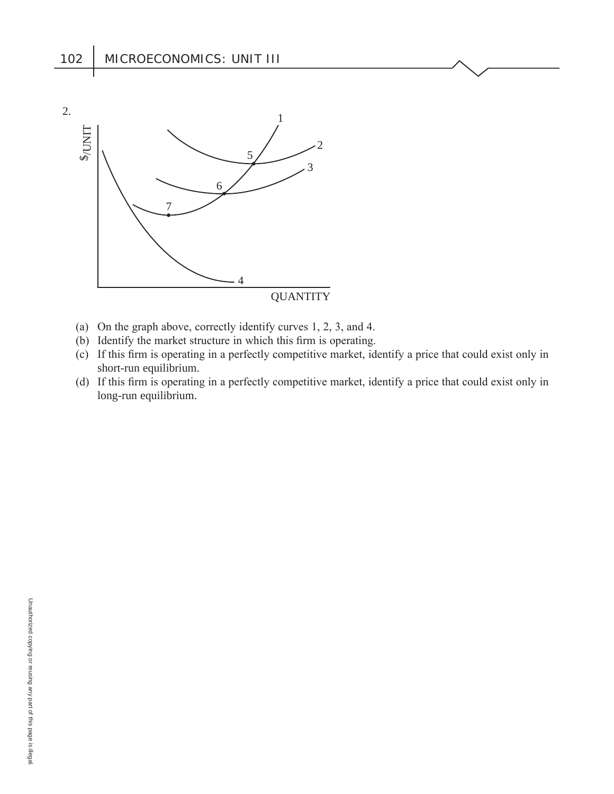

- (a) On the graph above, correctly identify curves  $1, 2, 3$ , and  $4$ .
- (b) Identify the market structure in which this firm is operating.
- $F(x)$  If this firm is operating in a perfectly competitive market, identify a price that could exist only in short-run equilibrium.
- (d) If this firm is operating in a perfectly competitive market, identify a price that could exist only in long-run equilibrium.